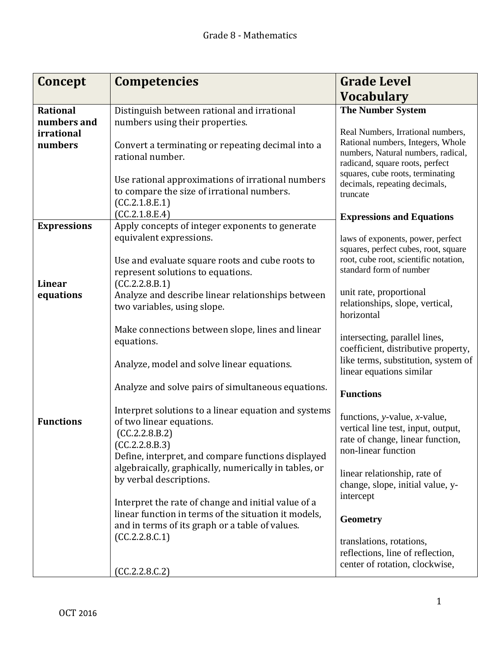| Concept                    | <b>Competencies</b>                                                                                                                                                        | <b>Grade Level</b>                                                                                                                                                                                                   |
|----------------------------|----------------------------------------------------------------------------------------------------------------------------------------------------------------------------|----------------------------------------------------------------------------------------------------------------------------------------------------------------------------------------------------------------------|
|                            |                                                                                                                                                                            | <b>Vocabulary</b>                                                                                                                                                                                                    |
| <b>Rational</b>            | Distinguish between rational and irrational                                                                                                                                | <b>The Number System</b>                                                                                                                                                                                             |
| numbers and<br>irrational  | numbers using their properties.                                                                                                                                            | Real Numbers, Irrational numbers,                                                                                                                                                                                    |
| numbers                    | Convert a terminating or repeating decimal into a<br>rational number.<br>Use rational approximations of irrational numbers                                                 | Rational numbers, Integers, Whole<br>numbers, Natural numbers, radical,<br>radicand, square roots, perfect<br>squares, cube roots, terminating<br>decimals, repeating decimals,                                      |
|                            | to compare the size of irrational numbers.<br>(CC.2.1.8.E.1)                                                                                                               | truncate                                                                                                                                                                                                             |
|                            | (CC.2.1.8.E.4)                                                                                                                                                             | <b>Expressions and Equations</b>                                                                                                                                                                                     |
| <b>Expressions</b>         | Apply concepts of integer exponents to generate<br>equivalent expressions.                                                                                                 | laws of exponents, power, perfect<br>squares, perfect cubes, root, square<br>root, cube root, scientific notation,<br>standard form of number                                                                        |
|                            | Use and evaluate square roots and cube roots to<br>represent solutions to equations.                                                                                       |                                                                                                                                                                                                                      |
| <b>Linear</b><br>equations | (CC.2.2.8.B.1)<br>Analyze and describe linear relationships between<br>two variables, using slope.                                                                         | unit rate, proportional<br>relationships, slope, vertical,<br>horizontal                                                                                                                                             |
|                            | Make connections between slope, lines and linear<br>equations.                                                                                                             | intersecting, parallel lines,<br>coefficient, distributive property,                                                                                                                                                 |
|                            | Analyze, model and solve linear equations.                                                                                                                                 | like terms, substitution, system of<br>linear equations similar                                                                                                                                                      |
|                            | Analyze and solve pairs of simultaneous equations.                                                                                                                         | <b>Functions</b>                                                                                                                                                                                                     |
| <b>Functions</b>           | Interpret solutions to a linear equation and systems<br>of two linear equations.<br>(CC.2.2.8.B.2)<br>(CC.2.2.8.B.3)<br>Define, interpret, and compare functions displayed | functions, $y$ -value, $x$ -value,<br>vertical line test, input, output,<br>rate of change, linear function,<br>non-linear function<br>linear relationship, rate of<br>change, slope, initial value, y-<br>intercept |
|                            | algebraically, graphically, numerically in tables, or<br>by verbal descriptions.                                                                                           |                                                                                                                                                                                                                      |
|                            | Interpret the rate of change and initial value of a<br>linear function in terms of the situation it models,<br>and in terms of its graph or a table of values.             | Geometry                                                                                                                                                                                                             |
|                            | (CC.2.2.8.C.1)<br>(CC.2.2.8.C.2)                                                                                                                                           | translations, rotations,<br>reflections, line of reflection,<br>center of rotation, clockwise,                                                                                                                       |